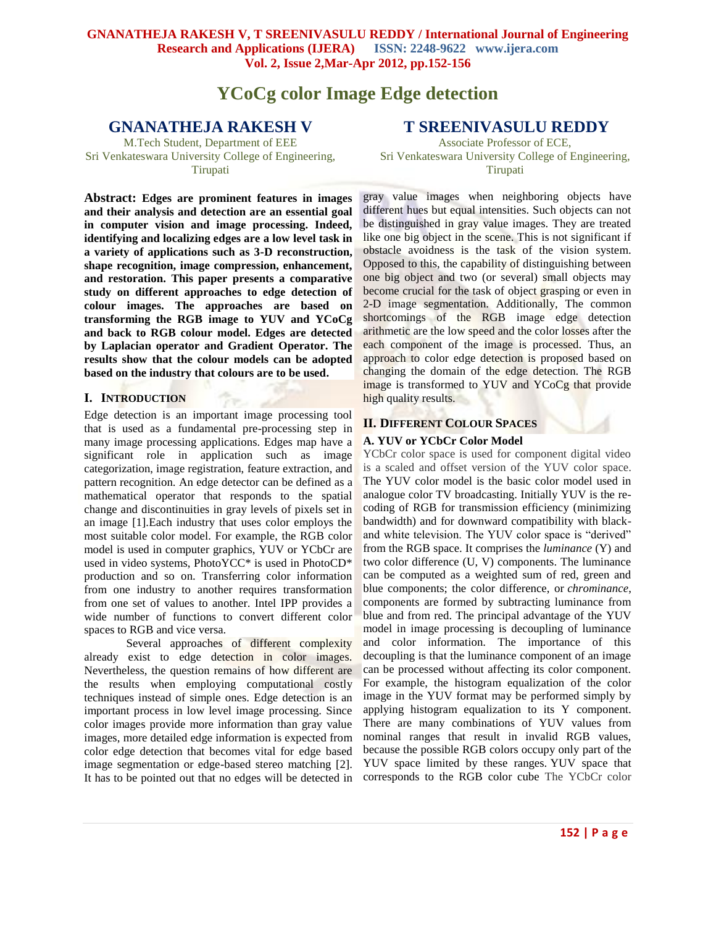# **YCoCg color Image Edge detection**

## **GNANATHEJA RAKESH V**

M.Tech Student, Department of EEE Sri Venkateswara University College of Engineering, Tirupati

**Abstract: Edges are prominent features in images and their analysis and detection are an essential goal in computer vision and image processing. Indeed, identifying and localizing edges are a low level task in a variety of applications such as 3-D reconstruction, shape recognition, image compression, enhancement, and restoration. This paper presents a comparative study on different approaches to edge detection of colour images. The approaches are based on transforming the RGB image to YUV and YCoCg and back to RGB colour model. Edges are detected by Laplacian operator and Gradient Operator. The results show that the colour models can be adopted based on the industry that colours are to be used.**

#### **I. INTRODUCTION**

Edge detection is an important image processing tool that is used as a fundamental pre-processing step in many image processing applications. Edges map have a significant role in application such as image categorization, image registration, feature extraction, and pattern recognition. An edge detector can be defined as a mathematical operator that responds to the spatial change and discontinuities in gray levels of pixels set in an image [1].Each industry that uses color employs the most suitable color model. For example, the RGB color model is used in computer graphics, YUV or YCbCr are used in video systems, PhotoYCC\* is used in PhotoCD\* production and so on. Transferring color information from one industry to another requires transformation from one set of values to another. Intel IPP provides a wide number of functions to convert different color spaces to RGB and vice versa.

Several approaches of different complexity already exist to edge detection in color images. Nevertheless, the question remains of how different are the results when employing computational costly techniques instead of simple ones. Edge detection is an important process in low level image processing. Since color images provide more information than gray value images, more detailed edge information is expected from color edge detection that becomes vital for edge based image segmentation or edge-based stereo matching [2]. It has to be pointed out that no edges will be detected in

## **T SREENIVASULU REDDY**

Associate Professor of ECE, Sri Venkateswara University College of Engineering, Tirupati

gray value images when neighboring objects have different hues but equal intensities. Such objects can not be distinguished in gray value images. They are treated like one big object in the scene. This is not significant if obstacle avoidness is the task of the vision system. Opposed to this, the capability of distinguishing between one big object and two (or several) small objects may become crucial for the task of object grasping or even in 2-D image segmentation. Additionally, The common shortcomings of the RGB image edge detection arithmetic are the low speed and the color losses after the each component of the image is processed. Thus, an approach to color edge detection is proposed based on changing the domain of the edge detection. The RGB image is transformed to YUV and YCoCg that provide high quality results.

### **II. DIFFERENT COLOUR SPACES**

#### **A. YUV or YCbCr Color Model**

YCbCr color space is used for component digital video is a scaled and offset version of the YUV color space. The YUV color model is the basic color model used in analogue color TV broadcasting. Initially YUV is the recoding of RGB for transmission efficiency (minimizing bandwidth) and for downward compatibility with blackand white television. The YUV color space is "derived" from the RGB space. It comprises the *luminance* (Y) and two color difference (U, V) components. The luminance can be computed as a weighted sum of red, green and blue components; the color difference, or *chrominance*, components are formed by subtracting luminance from blue and from red. The principal advantage of the YUV model in image processing is decoupling of luminance and color information. The importance of this decoupling is that the luminance component of an image can be processed without affecting its color component. For example, the histogram equalization of the color image in the YUV format may be performed simply by applying histogram equalization to its Y component. There are many combinations of YUV values from nominal ranges that result in invalid RGB values, because the possible RGB colors occupy only part of the YUV space limited by these ranges. YUV space that corresponds to the RGB color cube The YCbCr color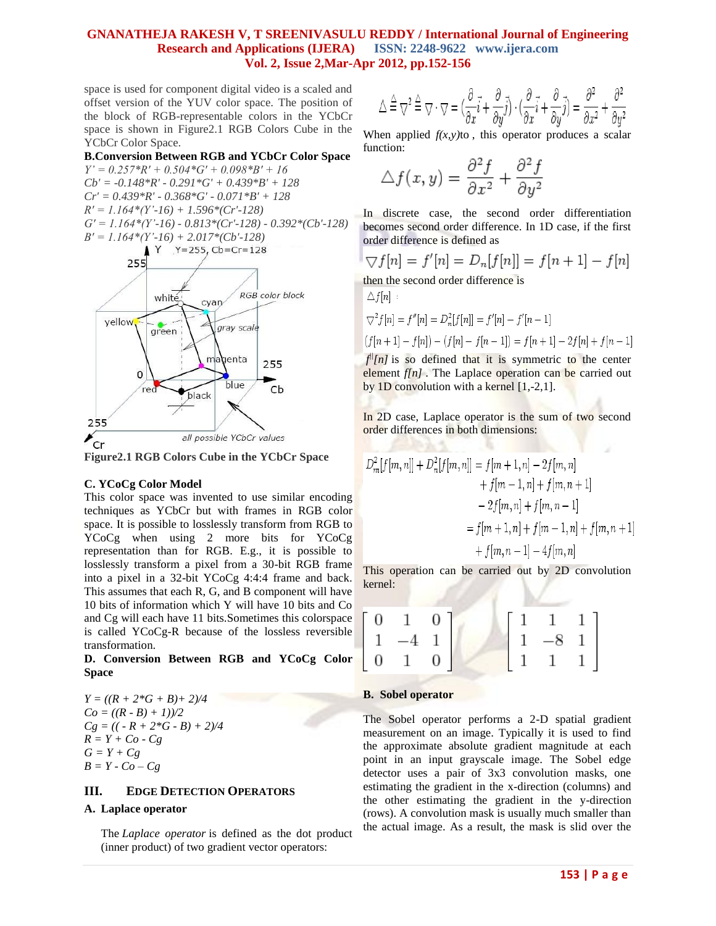space is used for component digital video is a scaled and offset version of the YUV color space. The position of the block of RGB-representable colors in the YCbCr space is shown in Figure2.1 RGB Colors Cube in the YCbCr Color Space.

**B.Conversion Between RGB and YCbCr Color Space**

*Y' = 0.257\*R' + 0.504\*G' + 0.098\*B' + 16 Cb' = -0.148\*R' - 0.291\*G' + 0.439\*B' + 128 Cr' = 0.439\*R' - 0.368\*G' - 0.071\*B' + 128 R' = 1.164\*(Y'-16) + 1.596\*(Cr'-128) G' = 1.164\*(Y'-16) - 0.813\*(Cr'-128) - 0.392\*(Cb'-128) B' = 1.164\*(Y'-16) + 2.017\*(Cb'-128)*  $Y$   $Y=255$ , Cb=Cr=128



**Figure2.1 RGB Colors Cube in the YCbCr Space**

#### **C. YCoCg Color Model**

This color space was invented to use similar encoding techniques as [YCbCr](http://wiki.multimedia.cx/index.php?title=YCbCr) but with frames in [RGB](http://wiki.multimedia.cx/index.php?title=RGB) color space. It is possible to losslessly transform from [RGB](http://wiki.multimedia.cx/index.php?title=RGB) to YCoCg when using 2 more bits for YCoCg representation than for RGB. E.g., it is possible to losslessly transform a pixel from a 30-bit RGB frame into a pixel in a 32-bit YCoCg 4:4:4 frame and back. This assumes that each R, G, and B component will have 10 bits of information which Y will have 10 bits and Co and Cg will each have 11 bits.Sometimes this colorspace is called YCoCg-R because of the lossless reversible transformation.

#### **D. Conversion Between RGB and YCoCg Color Space**

 $Y = ((R + 2*G + B) + 2)/4$  $Co = ((R - B) + 1)/2$  $Cg = (( -R + 2 \cdot G - B) + 2)/4$  $R = Y + Co - Cg$  $G = Y + Cg$  $B = Y - Co - Cg$ 

### **III. EDGE DETECTION OPERATORS**

#### **A. Laplace operator**

The *Laplace operator* is defined as the dot product (inner product) of two gradient vector operators:

$$
\triangle \stackrel{\triangle}{=} \bigtriangledown^2 \stackrel{\triangle}{=} \bigtriangledown \cdot \bigtriangledown = \big(\frac{\partial}{\partial x} \vec{i} + \frac{\partial}{\partial y} \vec{j} \big) \cdot \big(\frac{\partial}{\partial x} \vec{i} + \frac{\partial}{\partial y} \vec{j} \big) = \frac{\partial^2}{\partial x^2} + \frac{\partial^2}{\partial y^2}
$$

When applied  $f(x, y)$ to, this operator produces a scalar function:

$$
\triangle f(x, y) = \frac{\partial^2 f}{\partial x^2} + \frac{\partial^2 f}{\partial y^2}
$$

In discrete case, the second order differentiation becomes second order difference. In 1D case, if the first order difference is defined as

$$
\nabla f[n] = f'[n] = D_n[f[n]] = f[n+1] - f[n]
$$

then the second order difference is

 $A$   $f$   $f$   $-1$ 

$$
\sum f[n]
$$
  
\n
$$
\nabla^2 f[n] = f''[n] = D_n^2[f[n]] = f'[n] - f'[n-1]
$$
  
\n
$$
(f[n+1] - f[n]) - (f[n] - f[n-1]) = f[n+1] - 2f[n] + f[n-1]
$$

 $f^{(n)}[n]$  is so defined that it is symmetric to the center element *f[n]*. The Laplace operation can be carried out by 1D convolution with a kernel  $[1,-2,1]$ .

In 2D case, Laplace operator is the sum of two second order differences in both dimensions:

$$
D_m^2[f[m,n]] + D_n^2[f[m,n]] = f[m+1,n] - 2f[m,n] + f[m-1,n] + f[m,n+1] - 2f[m,n] + f[m,n-1] = f[m+1,n] + f[m-1,n] + f[m,n+1] + f[m,n-1] - 4f[m,n]
$$

This operation can be carried out by 2D convolution kernel:

| $\begin{bmatrix} 0 & 1 & 0 \end{bmatrix}$ |  |                                                                                      |  |
|-------------------------------------------|--|--------------------------------------------------------------------------------------|--|
| $1 -4 1$                                  |  |                                                                                      |  |
| $\begin{bmatrix} 0 & 1 & 0 \end{bmatrix}$ |  | $\left[ \begin{array}{ccc} 1 & 1 & 1 \\ 1 & -8 & 1 \\ 1 & 1 & 1 \end{array} \right]$ |  |

#### **B. Sobel operator**

The Sobel operator performs a 2-D spatial gradient measurement on an image. Typically it is used to find the approximate absolute gradient magnitude at each point in an input grayscale image. The Sobel edge detector uses a pair of 3x3 convolution masks, one estimating the gradient in the x-direction (columns) and the other estimating the gradient in the y-direction (rows). A convolution mask is usually much smaller than the actual image. As a result, the mask is slid over the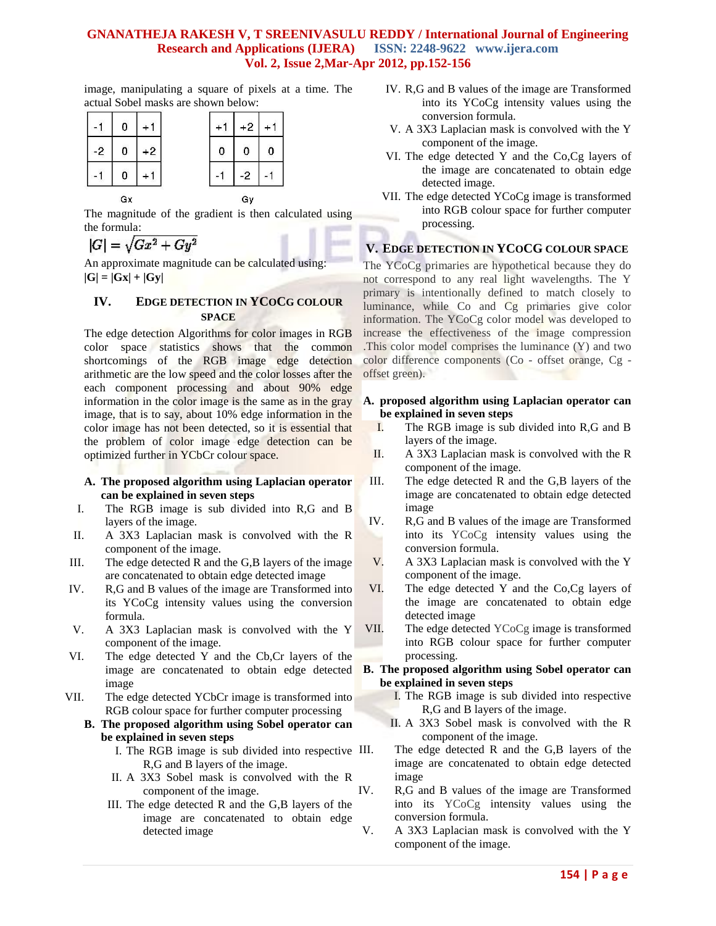image, manipulating a square of pixels at a time. The actual Sobel masks are shown below:

|      | 0  |      | $\ddot{}$ | $+2$ |   |  |
|------|----|------|-----------|------|---|--|
| $-2$ | 0  | $+2$ | 0         | 0    | 0 |  |
|      |    |      |           | -2   |   |  |
|      | Gx |      |           | Gy   |   |  |

The magnitude of the gradient is then calculated using the formula:

$$
|G|=\sqrt{Gx^2+Gy^2}
$$

An approximate magnitude can be calculated using:  $|G| = |Gx| + |Gy|$ 

## **IV. EDGE DETECTION IN YCOCG COLOUR SPACE**

The edge detection Algorithms for color images in RGB color space statistics shows that the common shortcomings of the RGB image edge detection arithmetic are the low speed and the color losses after the each component processing and about 90% edge information in the color image is the same as in the gray image, that is to say, about 10% edge information in the color image has not been detected, so it is essential that the problem of color image edge detection can be optimized further in YCbCr colour space.

- **A. The proposed algorithm using Laplacian operator can be explained in seven steps**
- I. The RGB image is sub divided into R,G and B layers of the image.
- II. A 3X3 Laplacian mask is convolved with the R component of the image.
- III. The edge detected R and the G,B layers of the image are concatenated to obtain edge detected image
- IV. R,G and B values of the image are Transformed into its YCoCg intensity values using the conversion formula.
- V. A 3X3 Laplacian mask is convolved with the Y component of the image.
- VI. The edge detected Y and the Cb,Cr layers of the image are concatenated to obtain edge detected image
- VII. The edge detected YCbCr image is transformed into RGB colour space for further computer processing

### **B. The proposed algorithm using Sobel operator can be explained in seven steps**

- I. The RGB image is sub divided into respective R,G and B layers of the image.
- II. A 3X3 Sobel mask is convolved with the R component of the image.
- III. The edge detected R and the G,B layers of the image are concatenated to obtain edge detected image
- IV. R,G and B values of the image are Transformed into its YCoCg intensity values using the conversion formula.
- V. A 3X3 Laplacian mask is convolved with the Y component of the image.
- VI. The edge detected Y and the Co,Cg layers of the image are concatenated to obtain edge detected image.
- VII. The edge detected YCoCg image is transformed into RGB colour space for further computer processing.

## **V. EDGE DETECTION IN YCOCG COLOUR SPACE**

The YCoCg primaries are hypothetical because they do not correspond to any real light wavelengths. The Y primary is intentionally defined to match closely to luminance, while Co and Cg primaries give color information. The YCoCg color model was developed to increase the effectiveness of the image compression .This color model comprises the luminance (Y) and two color difference components (Co - offset orange, Cg offset green).

- **A. proposed algorithm using Laplacian operator can be explained in seven steps**
	- I. The RGB image is sub divided into R,G and B layers of the image.
	- II. A 3X3 Laplacian mask is convolved with the R component of the image.
- III. The edge detected R and the G,B layers of the image are concatenated to obtain edge detected image
- IV. R,G and B values of the image are Transformed into its YCoCg intensity values using the conversion formula.
- V. A 3X3 Laplacian mask is convolved with the Y component of the image.
- VI. The edge detected Y and the Co,Cg layers of the image are concatenated to obtain edge detected image
- VII. The edge detected YCoCg image is transformed into RGB colour space for further computer processing.

#### **B. The proposed algorithm using Sobel operator can be explained in seven steps**

- I. The RGB image is sub divided into respective R,G and B layers of the image.
- II. A 3X3 Sobel mask is convolved with the R component of the image.
- The edge detected  $R$  and the  $G,B$  layers of the image are concatenated to obtain edge detected image
- IV. R,G and B values of the image are Transformed into its YCoCg intensity values using the conversion formula.
- V. A 3X3 Laplacian mask is convolved with the Y component of the image.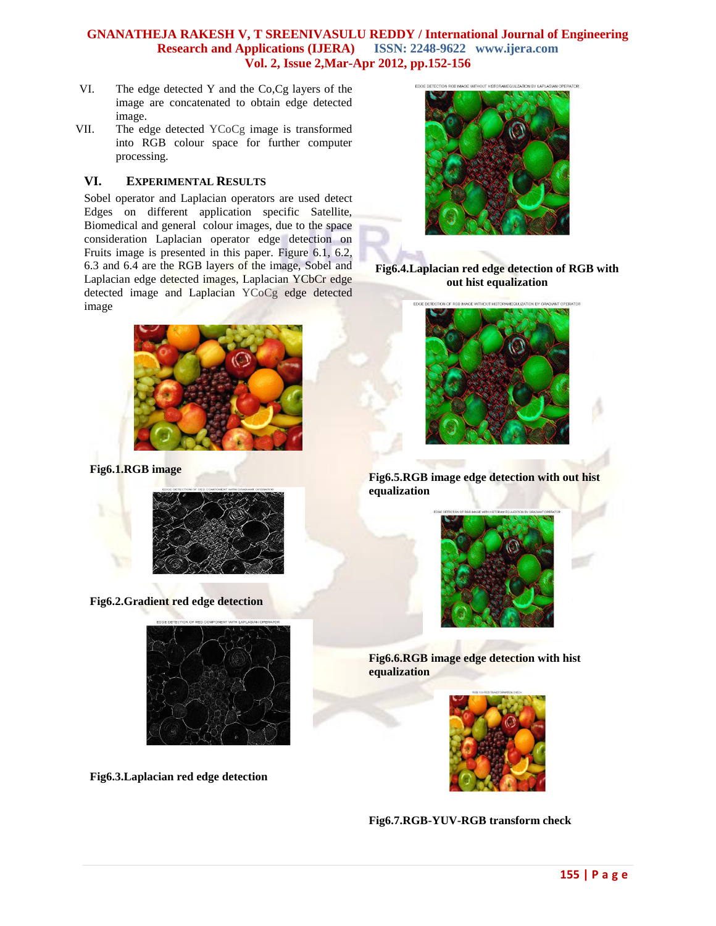- VI. The edge detected Y and the Co,Cg layers of the image are concatenated to obtain edge detected image.
- VII. The edge detected YCoCg image is transformed into RGB colour space for further computer processing.

## **VI. EXPERIMENTAL RESULTS**

Sobel operator and Laplacian operators are used detect Edges on different application specific Satellite, Biomedical and general colour images, due to the space consideration Laplacian operator edge detection on Fruits image is presented in this paper. Figure 6.1, 6.2, 6.3 and 6.4 are the RGB layers of the image, Sobel and Laplacian edge detected images, Laplacian YCbCr edge detected image and Laplacian YCoCg edge detected image



**Fig6.1.RGB image**



**Fig6.2.Gradient red edge detection**



**Fig6.3.Laplacian red edge detection**



**Fig6.4.Laplacian red edge detection of RGB with out hist equalization**



**Fig6.5.RGB image edge detection with out hist equalization**



**Fig6.6.RGB image edge detection with hist equalization**





**155 | P a g e**